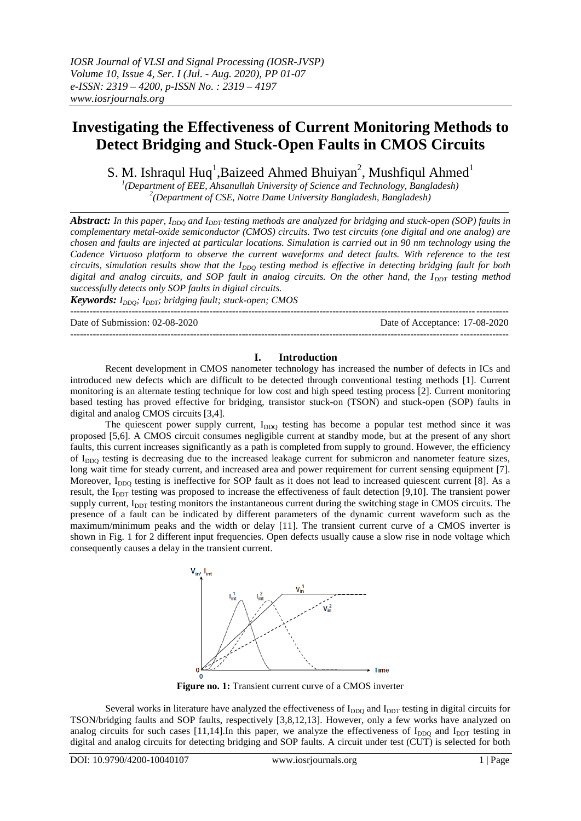# **Investigating the Effectiveness of Current Monitoring Methods to Detect Bridging and Stuck-Open Faults in CMOS Circuits**

S. M. Ishraqul Huq<sup>1</sup>, Baizeed Ahmed Bhuiyan<sup>2</sup>, Mushfiqul Ahmed<sup>1</sup>

*1 (Department of EEE, Ahsanullah University of Science and Technology, Bangladesh) 2 (Department of CSE, Notre Dame University Bangladesh, Bangladesh)*

*Abstract: In this paper, I<sub>DDQ</sub> and I<sub>DDT</sub> testing methods are analyzed for bridging and stuck-open (SOP) faults in complementary metal-oxide semiconductor (CMOS) circuits. Two test circuits (one digital and one analog) are chosen and faults are injected at particular locations. Simulation is carried out in 90 nm technology using the Cadence Virtuoso platform to observe the current waveforms and detect faults. With reference to the test circuits, simulation results show that the I<sub>DDQ</sub> testing method is effective in detecting bridging fault for both digital and analog circuits, and SOP fault in analog circuits. On the other hand, the I<sub>DDT</sub> testing method successfully detects only SOP faults in digital circuits.*

*Keywords: I<sub>DDO</sub>*; *I<sub>DDT</sub>*; *bridging fault; stuck-open; CMOS* 

---------------------------------------------------------------------------------------------------------------------------------------

Date of Submission: 02-08-2020 Date of Acceptance: 17-08-2020 ---------------------------------------------------------------------------------------------------------------------------------------

# **I. Introduction**

Recent development in CMOS nanometer technology has increased the number of defects in ICs and introduced new defects which are difficult to be detected through conventional testing methods [1]. Current monitoring is an alternate testing technique for low cost and high speed testing process [2]. Current monitoring based testing has proved effective for bridging, transistor stuck-on (TSON) and stuck-open (SOP) faults in digital and analog CMOS circuits [3,4].

The quiescent power supply current, I<sub>DDQ</sub> testing has become a popular test method since it was proposed [5,6]. A CMOS circuit consumes negligible current at standby mode, but at the present of any short faults, this current increases significantly as a path is completed from supply to ground. However, the efficiency of I<sub>DDQ</sub> testing is decreasing due to the increased leakage current for submicron and nanometer feature sizes, long wait time for steady current, and increased area and power requirement for current sensing equipment [7]. Moreover, I<sub>DDQ</sub> testing is ineffective for SOP fault as it does not lead to increased quiescent current [8]. As a result, the I<sub>DDT</sub> testing was proposed to increase the effectiveness of fault detection [9,10]. The transient power supply current, I<sub>DDT</sub> testing monitors the instantaneous current during the switching stage in CMOS circuits. The presence of a fault can be indicated by different parameters of the dynamic current waveform such as the maximum/minimum peaks and the width or delay [11]. The transient current curve of a CMOS inverter is shown in Fig. 1 for 2 different input frequencies. Open defects usually cause a slow rise in node voltage which consequently causes a delay in the transient current.



**Figure no. 1:** Transient current curve of a CMOS inverter

Several works in literature have analyzed the effectiveness of I<sub>DDQ</sub> and I<sub>DDT</sub> testing in digital circuits for TSON/bridging faults and SOP faults, respectively [3,8,12,13]. However, only a few works have analyzed on analog circuits for such cases [11,14].In this paper, we analyze the effectiveness of  $I_{DDQ}$  and  $I_{DDT}$  testing in digital and analog circuits for detecting bridging and SOP faults. A circuit under test (CUT) is selected for both

l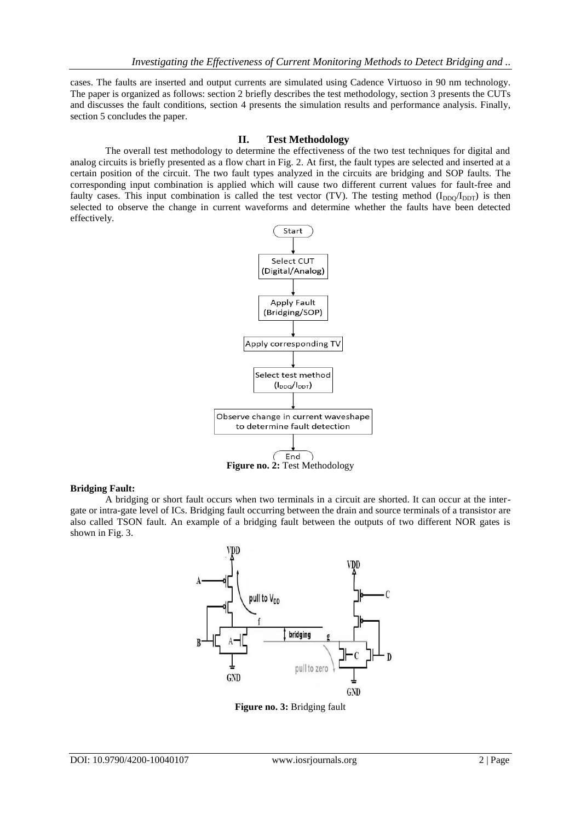cases. The faults are inserted and output currents are simulated using Cadence Virtuoso in 90 nm technology. The paper is organized as follows: section 2 briefly describes the test methodology, section 3 presents the CUTs and discusses the fault conditions, section 4 presents the simulation results and performance analysis. Finally, section 5 concludes the paper.

## **II. Test Methodology**

The overall test methodology to determine the effectiveness of the two test techniques for digital and analog circuits is briefly presented as a flow chart in Fig. 2. At first, the fault types are selected and inserted at a certain position of the circuit. The two fault types analyzed in the circuits are bridging and SOP faults. The corresponding input combination is applied which will cause two different current values for fault-free and faulty cases. This input combination is called the test vector (TV). The testing method  $(I_{DDO}/I_{DDT})$  is then selected to observe the change in current waveforms and determine whether the faults have been detected effectively.



# **Figure no. 2:** Test Methodology

## **Bridging Fault:**

A bridging or short fault occurs when two terminals in a circuit are shorted. It can occur at the intergate or intra-gate level of ICs. Bridging fault occurring between the drain and source terminals of a transistor are also called TSON fault. An example of a bridging fault between the outputs of two different NOR gates is shown in Fig. 3.



**Figure no. 3:** Bridging fault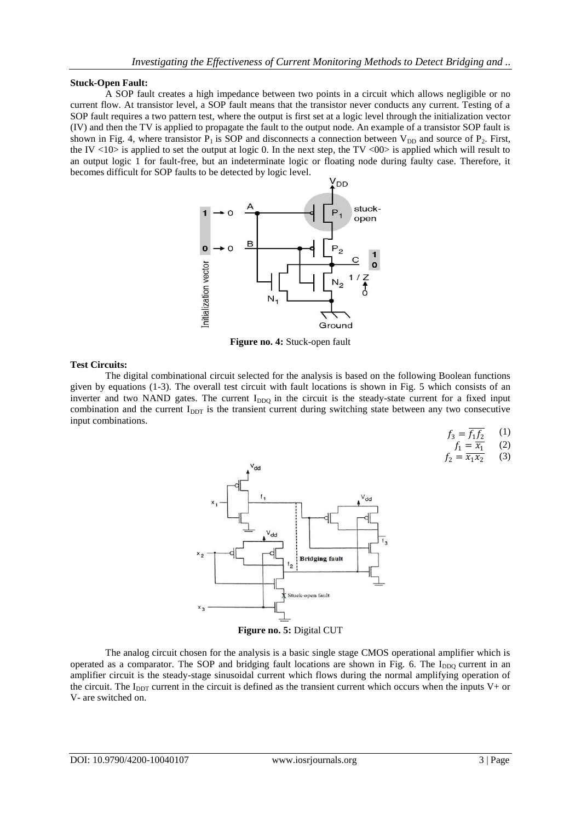#### **Stuck-Open Fault:**

A SOP fault creates a high impedance between two points in a circuit which allows negligible or no current flow. At transistor level, a SOP fault means that the transistor never conducts any current. Testing of a SOP fault requires a two pattern test, where the output is first set at a logic level through the initialization vector (IV) and then the TV is applied to propagate the fault to the output node. An example of a transistor SOP fault is shown in Fig. 4, where transistor  $P_1$  is SOP and disconnects a connection between  $V_{DD}$  and source of  $P_2$ . First, the IV  $\langle 10 \rangle$  is applied to set the output at logic 0. In the next step, the TV  $\langle 00 \rangle$  is applied which will result to an output logic 1 for fault-free, but an indeterminate logic or floating node during faulty case. Therefore, it becomes difficult for SOP faults to be detected by logic level.



**Figure no. 4:** Stuck-open fault

### **Test Circuits:**

The digital combinational circuit selected for the analysis is based on the following Boolean functions given by equations (1-3). The overall test circuit with fault locations is shown in Fig. 5 which consists of an inverter and two NAND gates. The current  $I_{DDQ}$  in the circuit is the steady-state current for a fixed input combination and the current  $I_{\text{DDT}}$  is the transient current during switching state between any two consecutive input combinations.

> $f_3 = f_1 f_2$ (1)  $f_1 = \overline{x_1}$  $(2)$

$$
f_2 = \frac{x_1}{x_1 x_2} \qquad (3)
$$



The analog circuit chosen for the analysis is a basic single stage CMOS operational amplifier which is operated as a comparator. The SOP and bridging fault locations are shown in Fig. 6. The  $I_{DDQ}$  current in an amplifier circuit is the steady-stage sinusoidal current which flows during the normal amplifying operation of the circuit. The  $I_{DDT}$  current in the circuit is defined as the transient current which occurs when the inputs V+ or V- are switched on.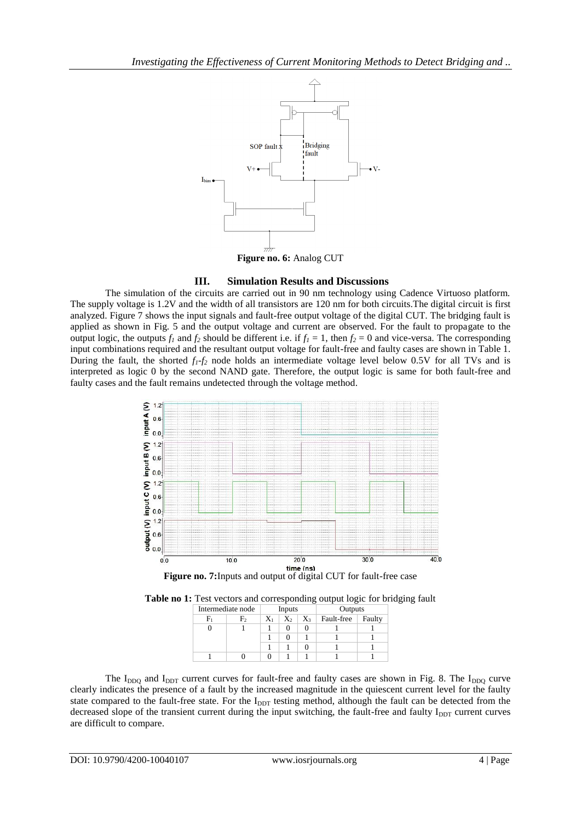

# **III. Simulation Results and Discussions**

The simulation of the circuits are carried out in 90 nm technology using Cadence Virtuoso platform. The supply voltage is 1.2V and the width of all transistors are 120 nm for both circuits.The digital circuit is first analyzed. Figure 7 shows the input signals and fault-free output voltage of the digital CUT. The bridging fault is applied as shown in Fig. 5 and the output voltage and current are observed. For the fault to propagate to the output logic, the outputs  $f_1$  and  $f_2$  should be different i.e. if  $f_1 = 1$ , then  $f_2 = 0$  and vice-versa. The corresponding input combinations required and the resultant output voltage for fault-free and faulty cases are shown in Table 1. During the fault, the shorted  $f_i$ - $f_j$  node holds an intermediate voltage level below 0.5V for all TVs and is interpreted as logic 0 by the second NAND gate. Therefore, the output logic is same for both fault-free and faulty cases and the fault remains undetected through the voltage method.





| Intermediate node |    | Inputs |       |       | Outputs    |        |
|-------------------|----|--------|-------|-------|------------|--------|
|                   | F, | $X_1$  | $X_2$ | $X_3$ | Fault-free | Faulty |
|                   |    |        |       |       |            |        |
|                   |    |        |       |       |            |        |
|                   |    |        |       |       |            |        |
|                   |    |        |       |       |            |        |

The  $I_{DDQ}$  and  $I_{DDT}$  current curves for fault-free and faulty cases are shown in Fig. 8. The  $I_{DDQ}$  curve clearly indicates the presence of a fault by the increased magnitude in the quiescent current level for the faulty state compared to the fault-free state. For the I<sub>DDT</sub> testing method, although the fault can be detected from the decreased slope of the transient current during the input switching, the fault-free and faulty  $I_{DDT}$  current curves are difficult to compare.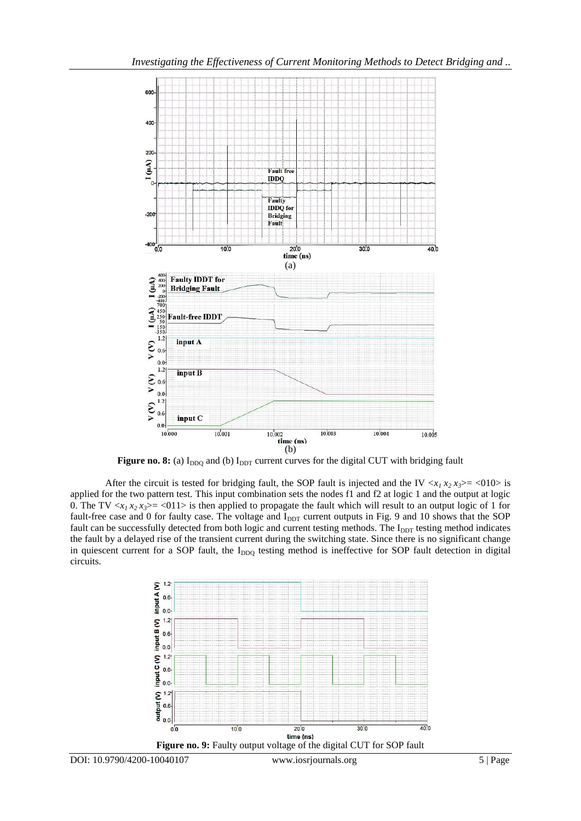

Figure no. 8: (a) I<sub>DDQ</sub> and (b) I<sub>DDT</sub> current curves for the digital CUT with bridging fault

After the circuit is tested for bridging fault, the SOP fault is injected and the IV  $\langle x_1 x_2 x_3 \rangle = \langle 010 \rangle$  is applied for the two pattern test. This input combination sets the nodes f1 and f2 at logic 1 and the output at logic 0. The TV  $\langle x_1 x_2 x_3 \rangle = \langle 011 \rangle$  is then applied to propagate the fault which will result to an output logic of 1 for fault-free case and 0 for faulty case. The voltage and I<sub>DDT</sub> current outputs in Fig. 9 and 10 shows that the SOP fault can be successfully detected from both logic and current testing methods. The I<sub>DDT</sub> testing method indicates the fault by a delayed rise of the transient current during the switching state. Since there is no significant change in quiescent current for a SOP fault, the I<sub>DDQ</sub> testing method is ineffective for SOP fault detection in digital circuits.

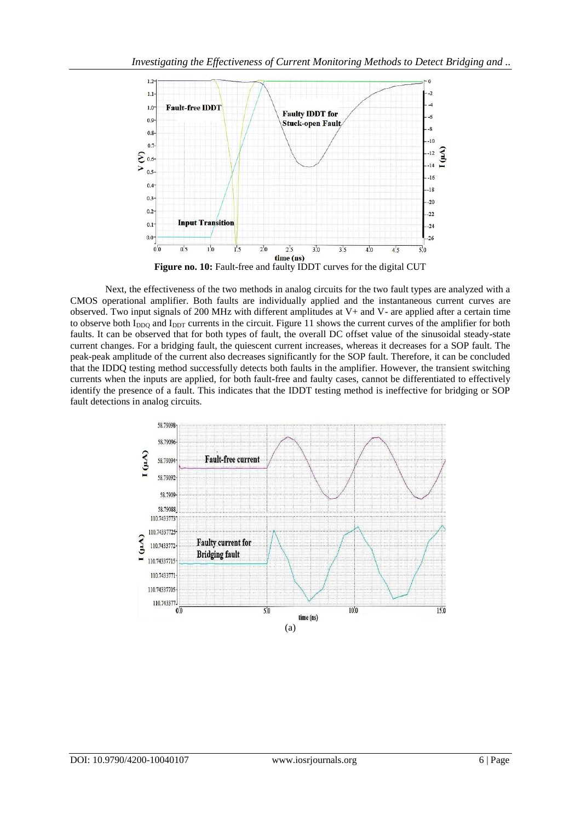

Next, the effectiveness of the two methods in analog circuits for the two fault types are analyzed with a CMOS operational amplifier. Both faults are individually applied and the instantaneous current curves are observed. Two input signals of 200 MHz with different amplitudes at V+ and V- are applied after a certain time to observe both  $I_{DDQ}$  and  $I_{DDT}$  currents in the circuit. Figure 11 shows the current curves of the amplifier for both faults. It can be observed that for both types of fault, the overall DC offset value of the sinusoidal steady-state current changes. For a bridging fault, the quiescent current increases, whereas it decreases for a SOP fault. The peak-peak amplitude of the current also decreases significantly for the SOP fault. Therefore, it can be concluded that the IDDQ testing method successfully detects both faults in the amplifier. However, the transient switching currents when the inputs are applied, for both fault-free and faulty cases, cannot be differentiated to effectively identify the presence of a fault. This indicates that the IDDT testing method is ineffective for bridging or SOP fault detections in analog circuits.